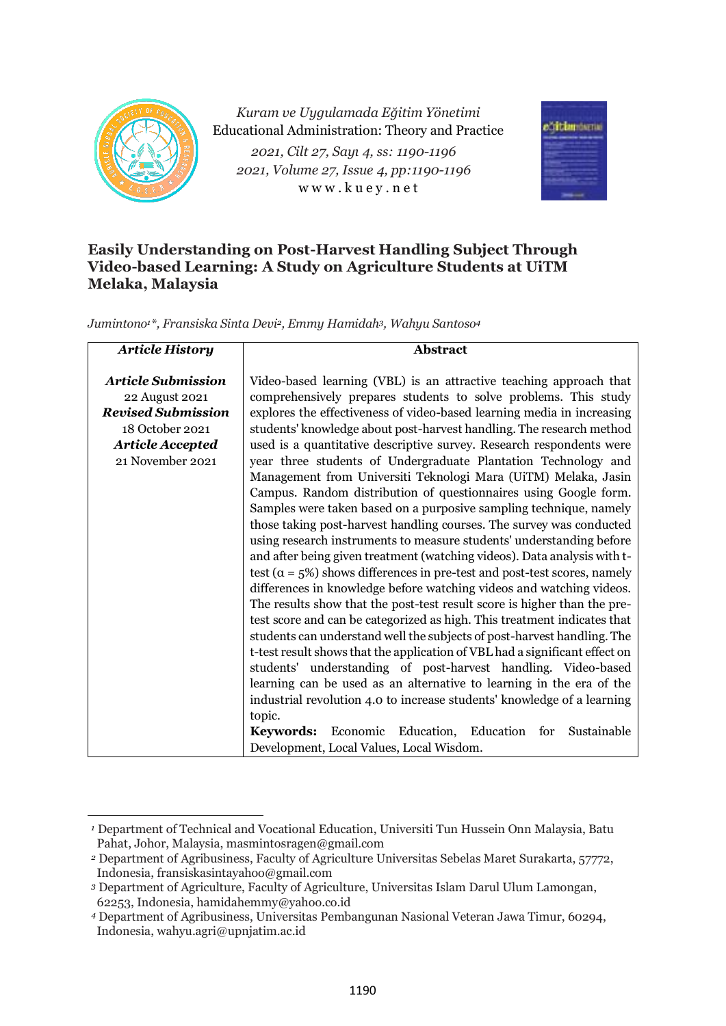

*Kuram ve Uygulamada Eğitim Yönetimi* Educational Administration: Theory and Practice *2021, Cilt 27, Sayı 4, ss: 1190-1196 2021, Volume 27, Issue 4, pp:1190-1196* w w w . k u e y . n e t



# **Easily Understanding on Post-Harvest Handling Subject Through Video-based Learning: A Study on Agriculture Students at UiTM Melaka, Malaysia**

*Jumintono1\*, Fransiska Sinta Devi2, Emmy Hamidah3, Wahyu Santoso<sup>4</sup>*

| <b>Article History</b><br><b>Abstract</b>                                                                                                  |                                                                                                                                                                                                                                                                                                                                                                                                                                                                                                                                                                                                                                                                                                                                                                                                                                                                                                                                                                                                                                                                                                                                                                                                                                                                                                                                                                                                                                                                                                  |  |  |  |  |  |
|--------------------------------------------------------------------------------------------------------------------------------------------|--------------------------------------------------------------------------------------------------------------------------------------------------------------------------------------------------------------------------------------------------------------------------------------------------------------------------------------------------------------------------------------------------------------------------------------------------------------------------------------------------------------------------------------------------------------------------------------------------------------------------------------------------------------------------------------------------------------------------------------------------------------------------------------------------------------------------------------------------------------------------------------------------------------------------------------------------------------------------------------------------------------------------------------------------------------------------------------------------------------------------------------------------------------------------------------------------------------------------------------------------------------------------------------------------------------------------------------------------------------------------------------------------------------------------------------------------------------------------------------------------|--|--|--|--|--|
| <b>Article Submission</b><br>22 August 2021<br><b>Revised Submission</b><br>18 October 2021<br><b>Article Accepted</b><br>21 November 2021 | Video-based learning (VBL) is an attractive teaching approach that<br>comprehensively prepares students to solve problems. This study<br>explores the effectiveness of video-based learning media in increasing<br>students' knowledge about post-harvest handling. The research method<br>used is a quantitative descriptive survey. Research respondents were<br>year three students of Undergraduate Plantation Technology and<br>Management from Universiti Teknologi Mara (UiTM) Melaka, Jasin<br>Campus. Random distribution of questionnaires using Google form.<br>Samples were taken based on a purposive sampling technique, namely<br>those taking post-harvest handling courses. The survey was conducted<br>using research instruments to measure students' understanding before<br>and after being given treatment (watching videos). Data analysis with t-<br>test ( $\alpha$ = 5%) shows differences in pre-test and post-test scores, namely<br>differences in knowledge before watching videos and watching videos.<br>The results show that the post-test result score is higher than the pre-<br>test score and can be categorized as high. This treatment indicates that<br>students can understand well the subjects of post-harvest handling. The<br>t-test result shows that the application of VBL had a significant effect on<br>students' understanding of post-harvest handling. Video-based<br>learning can be used as an alternative to learning in the era of the |  |  |  |  |  |
|                                                                                                                                            |                                                                                                                                                                                                                                                                                                                                                                                                                                                                                                                                                                                                                                                                                                                                                                                                                                                                                                                                                                                                                                                                                                                                                                                                                                                                                                                                                                                                                                                                                                  |  |  |  |  |  |
|                                                                                                                                            | industrial revolution 4.0 to increase students' knowledge of a learning                                                                                                                                                                                                                                                                                                                                                                                                                                                                                                                                                                                                                                                                                                                                                                                                                                                                                                                                                                                                                                                                                                                                                                                                                                                                                                                                                                                                                          |  |  |  |  |  |
|                                                                                                                                            | topic.<br>Economic Education, Education<br>Sustainable<br>for<br>Keywords:<br>Development, Local Values, Local Wisdom.                                                                                                                                                                                                                                                                                                                                                                                                                                                                                                                                                                                                                                                                                                                                                                                                                                                                                                                                                                                                                                                                                                                                                                                                                                                                                                                                                                           |  |  |  |  |  |

*<sup>1</sup>* Department of Technical and Vocational Education, Universiti Tun Hussein Onn Malaysia, Batu Pahat, Johor, Malaysia, masmintosragen@gmail.com

*<sup>2</sup>* Department of Agribusiness, Faculty of Agriculture Universitas Sebelas Maret Surakarta, 57772, Indonesia, fransiskasintayahoo@gmail.com

*<sup>3</sup>* Department of Agriculture, Faculty of Agriculture, Universitas Islam Darul Ulum Lamongan, 62253, Indonesia, hamidahemmy@yahoo.co.id

*<sup>4</sup>* Department of Agribusiness, Universitas Pembangunan Nasional Veteran Jawa Timur, 60294, Indonesia, wahyu.agri@upnjatim.ac.id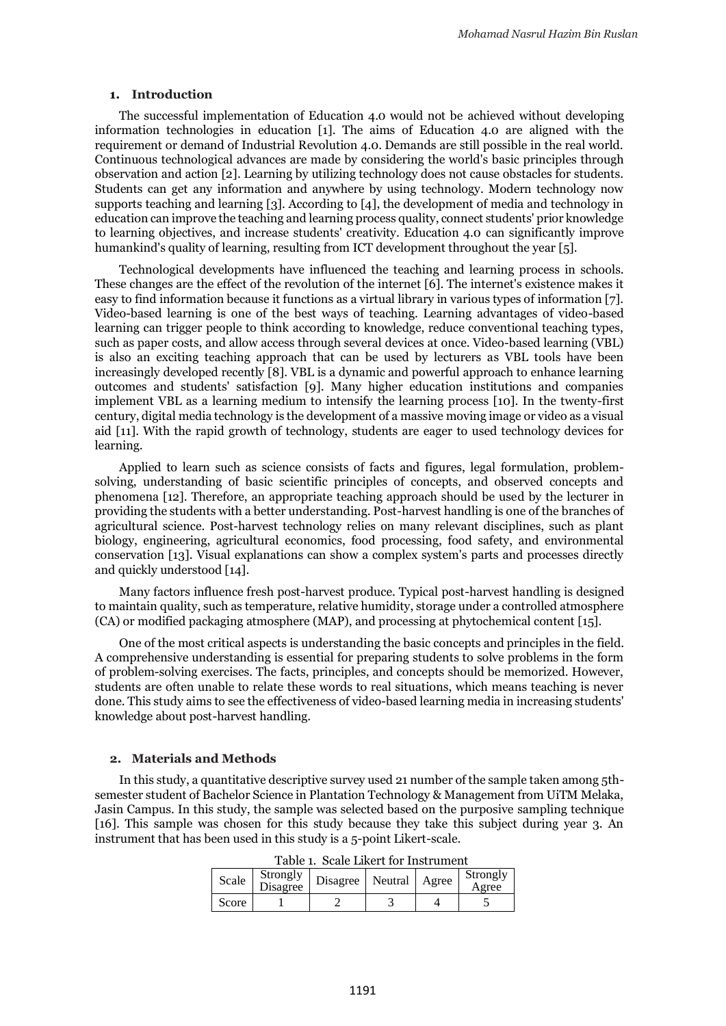#### **1. Introduction**

The successful implementation of Education 4.0 would not be achieved without developing information technologies in education [1]. The aims of Education 4.0 are aligned with the requirement or demand of Industrial Revolution 4.0. Demands are still possible in the real world. Continuous technological advances are made by considering the world's basic principles through observation and action [2]. Learning by utilizing technology does not cause obstacles for students. Students can get any information and anywhere by using technology. Modern technology now supports teaching and learning [3]. According to [4], the development of media and technology in education can improve the teaching and learning process quality, connect students' prior knowledge to learning objectives, and increase students' creativity. Education 4.0 can significantly improve humankind's quality of learning, resulting from ICT development throughout the year [5].

Technological developments have influenced the teaching and learning process in schools. These changes are the effect of the revolution of the internet [6]. The internet's existence makes it easy to find information because it functions as a virtual library in various types of information [7]. Video-based learning is one of the best ways of teaching. Learning advantages of video-based learning can trigger people to think according to knowledge, reduce conventional teaching types, such as paper costs, and allow access through several devices at once. Video-based learning (VBL) is also an exciting teaching approach that can be used by lecturers as VBL tools have been increasingly developed recently [8]. VBL is a dynamic and powerful approach to enhance learning outcomes and students' satisfaction [9]. Many higher education institutions and companies implement VBL as a learning medium to intensify the learning process [10]. In the twenty-first century, digital media technology is the development of a massive moving image or video as a visual aid [11]. With the rapid growth of technology, students are eager to used technology devices for learning.

Applied to learn such as science consists of facts and figures, legal formulation, problemsolving, understanding of basic scientific principles of concepts, and observed concepts and phenomena [12]. Therefore, an appropriate teaching approach should be used by the lecturer in providing the students with a better understanding. Post-harvest handling is one of the branches of agricultural science. Post-harvest technology relies on many relevant disciplines, such as plant biology, engineering, agricultural economics, food processing, food safety, and environmental conservation [13]. Visual explanations can show a complex system's parts and processes directly and quickly understood [14].

Many factors influence fresh post-harvest produce. Typical post-harvest handling is designed to maintain quality, such as temperature, relative humidity, storage under a controlled atmosphere (CA) or modified packaging atmosphere (MAP), and processing at phytochemical content [15].

One of the most critical aspects is understanding the basic concepts and principles in the field. A comprehensive understanding is essential for preparing students to solve problems in the form of problem-solving exercises. The facts, principles, and concepts should be memorized. However, students are often unable to relate these words to real situations, which means teaching is never done. This study aims to see the effectiveness of video-based learning media in increasing students' knowledge about post-harvest handling.

#### **2. Materials and Methods**

In this study, a quantitative descriptive survey used 21 number of the sample taken among 5thsemester student of Bachelor Science in Plantation Technology & Management from UiTM Melaka, Jasin Campus. In this study, the sample was selected based on the purposive sampling technique [16]. This sample was chosen for this study because they take this subject during year 3. An instrument that has been used in this study is a 5-point Likert-scale.

| Scale | Strongly<br>Disagree | Disagree | Neutral | Agree | Strongly<br>Agree |  |
|-------|----------------------|----------|---------|-------|-------------------|--|
| Score |                      |          |         |       |                   |  |

Table 1. Scale Likert for Instrument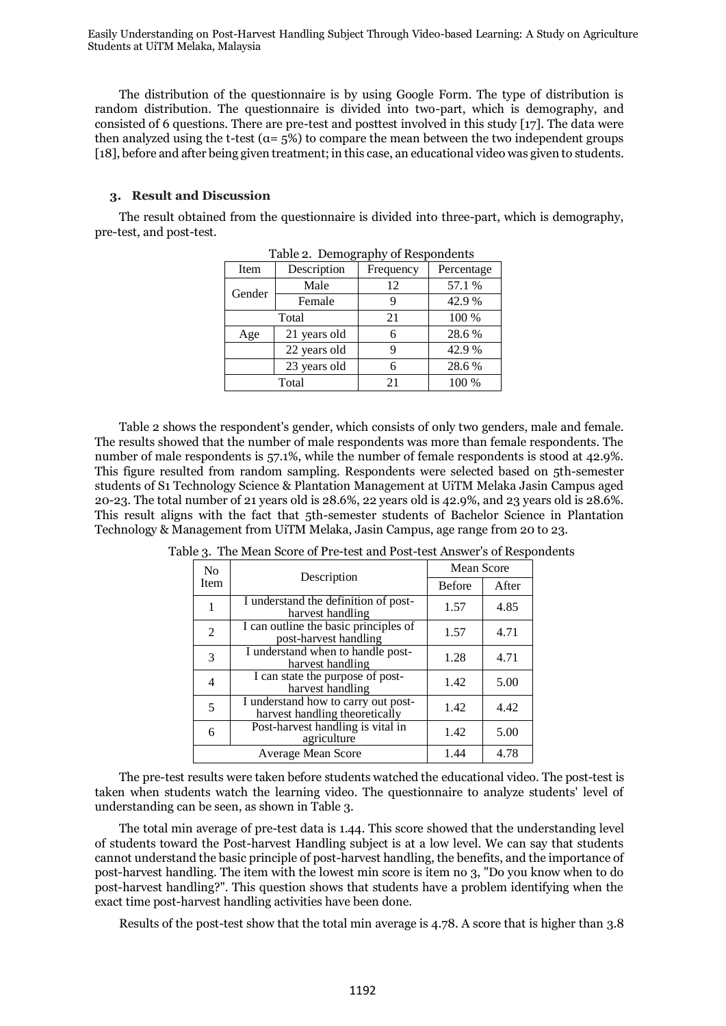Easily Understanding on Post-Harvest Handling Subject Through Video-based Learning: A Study on Agriculture Students at UiTM Melaka, Malaysia

The distribution of the questionnaire is by using Google Form. The type of distribution is random distribution. The questionnaire is divided into two-part, which is demography, and consisted of 6 questions. There are pre-test and posttest involved in this study [17]. The data were then analyzed using the t-test ( $\alpha = 5\%$ ) to compare the mean between the two independent groups [18], before and after being given treatment; in this case, an educational video was given to students.

#### **3. Result and Discussion**

The result obtained from the questionnaire is divided into three-part, which is demography, pre-test, and post-test.

| rapic 2. Demography of Respondents |              |           |            |  |  |
|------------------------------------|--------------|-----------|------------|--|--|
| Item                               | Description  | Frequency | Percentage |  |  |
| Gender                             | Male         | 12        | 57.1 %     |  |  |
|                                    | Female       | 9         | 42.9%      |  |  |
|                                    | Total        | 21        | 100 %      |  |  |
| Age                                | 21 years old | 6         | 28.6%      |  |  |
|                                    | 22 years old | 9         | 42.9%      |  |  |
|                                    | 23 years old | 6         | 28.6%      |  |  |
|                                    | Total        | 21        | 100 %      |  |  |

Table 2. Demography of Respondents

Table 2 shows the respondent's gender, which consists of only two genders, male and female. The results showed that the number of male respondents was more than female respondents. The number of male respondents is 57.1%, while the number of female respondents is stood at 42.9%. This figure resulted from random sampling. Respondents were selected based on 5th-semester students of S1 Technology Science & Plantation Management at UiTM Melaka Jasin Campus aged 20-23. The total number of 21 years old is 28.6%, 22 years old is 42.9%, and 23 years old is 28.6%. This result aligns with the fact that 5th-semester students of Bachelor Science in Plantation Technology & Management from UiTM Melaka, Jasin Campus, age range from 20 to 23.

| N <sub>0</sub><br>Item | Description                                                           | <b>Mean Score</b> |       |  |
|------------------------|-----------------------------------------------------------------------|-------------------|-------|--|
|                        |                                                                       | <b>Before</b>     | After |  |
|                        | I understand the definition of post-<br>harvest handling              | 1.57              | 4.85  |  |
| $\overline{2}$         | I can outline the basic principles of<br>post-harvest handling        | 1.57              | 4.71  |  |
| 3                      | I understand when to handle post-<br>harvest handling                 | 1.28              | 4.71  |  |
| 4                      | I can state the purpose of post-<br>harvest handling                  | 1.42              | 5.00  |  |
| 5                      | I understand how to carry out post-<br>harvest handling theoretically | 1.42              | 4.42  |  |
| 6                      | Post-harvest handling is vital in<br>agriculture                      | 1.42              | 5.00  |  |
|                        | <b>Average Mean Score</b>                                             | 1.44              | 4.78  |  |

Table 3. The Mean Score of Pre-test and Post-test Answer's of Respondents

The pre-test results were taken before students watched the educational video. The post-test is taken when students watch the learning video. The questionnaire to analyze students' level of understanding can be seen, as shown in Table 3.

The total min average of pre-test data is 1.44. This score showed that the understanding level of students toward the Post-harvest Handling subject is at a low level. We can say that students cannot understand the basic principle of post-harvest handling, the benefits, and the importance of post-harvest handling. The item with the lowest min score is item no 3, "Do you know when to do post-harvest handling?". This question shows that students have a problem identifying when the exact time post-harvest handling activities have been done.

Results of the post-test show that the total min average is 4.78. A score that is higher than 3.8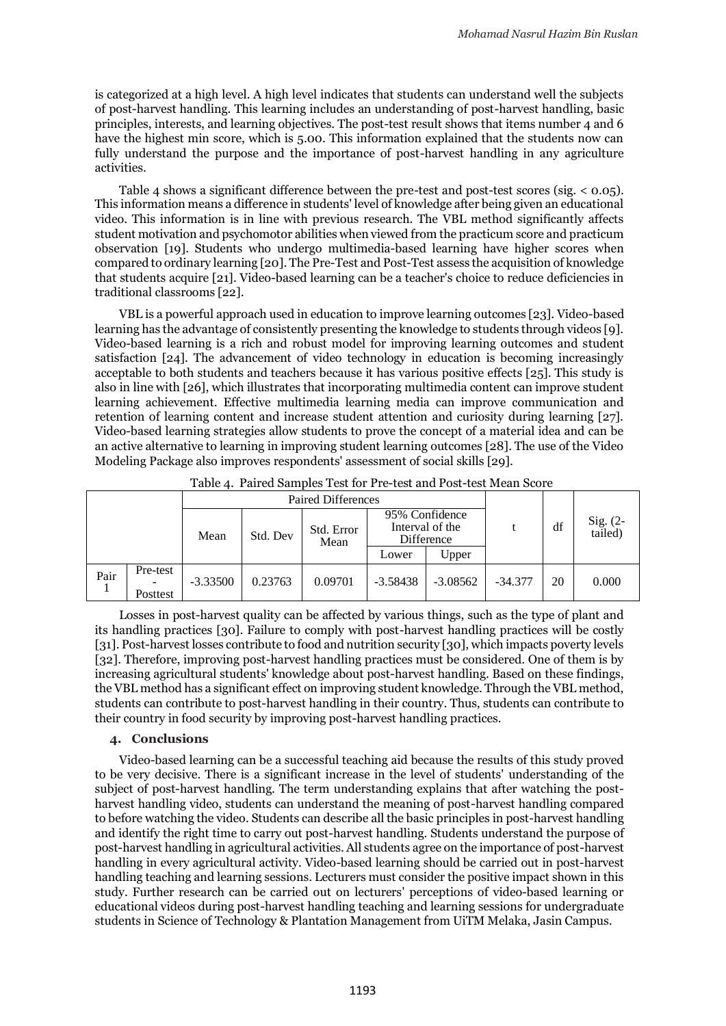is categorized at a high level. A high level indicates that students can understand well the subjects of post-harvest handling. This learning includes an understanding of post-harvest handling, basic principles, interests, and learning objectives. The post-test result shows that items number 4 and 6 have the highest min score, which is 5.00. This information explained that the students now can fully understand the purpose and the importance of post-harvest handling in any agriculture activities.

Table 4 shows a significant difference between the pre-test and post-test scores (sig. < 0.05). This information means a difference in students' level of knowledge after being given an educational video. This information is in line with previous research. The VBL method significantly affects student motivation and psychomotor abilities when viewed from the practicum score and practicum observation [19]. Students who undergo multimedia-based learning have higher scores when compared to ordinary learning [20]. The Pre-Test and Post-Test assess the acquisition of knowledge that students acquire [21]. Video-based learning can be a teacher's choice to reduce deficiencies in traditional classrooms [22].

VBL is a powerful approach used in education to improve learning outcomes [23]. Video-based learning has the advantage of consistently presenting the knowledge to students through videos [9]. Video-based learning is a rich and robust model for improving learning outcomes and student satisfaction [24]. The advancement of video technology in education is becoming increasingly acceptable to both students and teachers because it has various positive effects [25]. This study is also in line with [26], which illustrates that incorporating multimedia content can improve student learning achievement. Effective multimedia learning media can improve communication and retention of learning content and increase student attention and curiosity during learning [27]. Video-based learning strategies allow students to prove the concept of a material idea and can be an active alternative to learning in improving student learning outcomes [28]. The use of the Video Modeling Package also improves respondents' assessment of social skills [29].

|      |                      | Paired Differences |          |                    |                                                 |            |           |    |                     |
|------|----------------------|--------------------|----------|--------------------|-------------------------------------------------|------------|-----------|----|---------------------|
|      |                      | Mean               | Std. Dev | Std. Error<br>Mean | 95% Confidence<br>Interval of the<br>Difference |            |           | df | Sig. (2-<br>tailed) |
|      |                      |                    |          |                    | Lower                                           | Upper      |           |    |                     |
| Pair | Pre-test<br>Posttest | $-3.33500$         | 0.23763  | 0.09701            | $-3.58438$                                      | $-3.08562$ | $-34.377$ | 20 | 0.000               |

Table 4. Paired Samples Test for Pre-test and Post-test Mean Score

Losses in post-harvest quality can be affected by various things, such as the type of plant and its handling practices [30]. Failure to comply with post-harvest handling practices will be costly [31]. Post-harvest losses contribute to food and nutrition security [30], which impacts poverty levels [32]. Therefore, improving post-harvest handling practices must be considered. One of them is by increasing agricultural students' knowledge about post-harvest handling. Based on these findings, the VBL method has a significant effect on improving student knowledge. Through the VBL method, students can contribute to post-harvest handling in their country. Thus, students can contribute to their country in food security by improving post-harvest handling practices.

## **4. Conclusions**

Video-based learning can be a successful teaching aid because the results of this study proved to be very decisive. There is a significant increase in the level of students' understanding of the subject of post-harvest handling. The term understanding explains that after watching the postharvest handling video, students can understand the meaning of post-harvest handling compared to before watching the video. Students can describe all the basic principles in post-harvest handling and identify the right time to carry out post-harvest handling. Students understand the purpose of post-harvest handling in agricultural activities. All students agree on the importance of post-harvest handling in every agricultural activity. Video-based learning should be carried out in post-harvest handling teaching and learning sessions. Lecturers must consider the positive impact shown in this study. Further research can be carried out on lecturers' perceptions of video-based learning or educational videos during post-harvest handling teaching and learning sessions for undergraduate students in Science of Technology & Plantation Management from UiTM Melaka, Jasin Campus.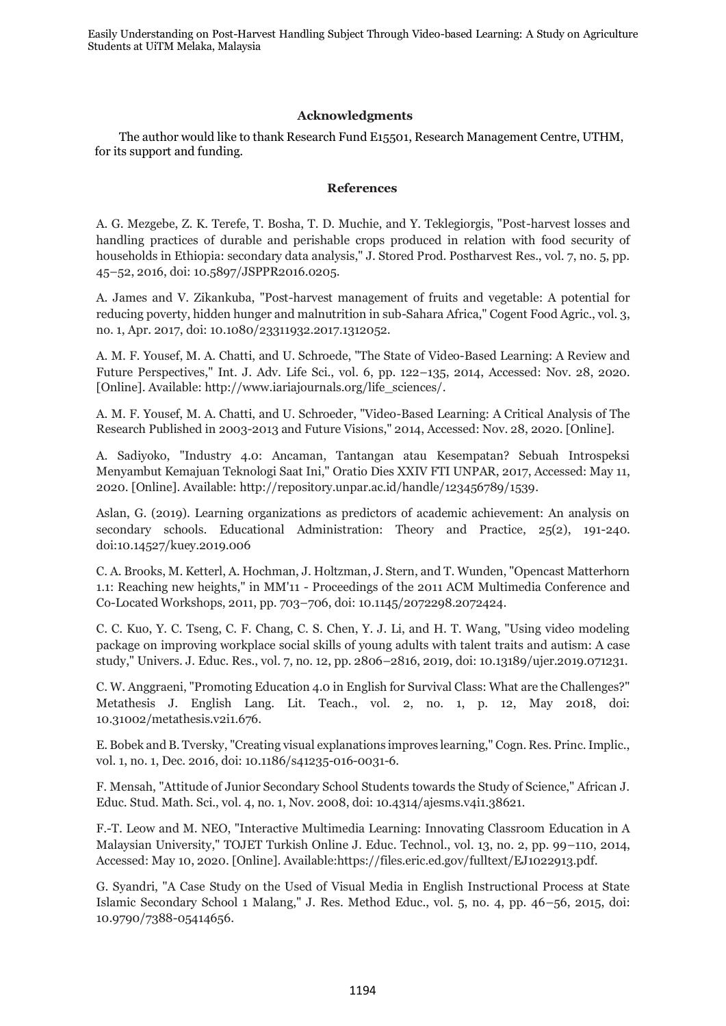Easily Understanding on Post-Harvest Handling Subject Through Video-based Learning: A Study on Agriculture Students at UiTM Melaka, Malaysia

# **Acknowledgments**

The author would like to thank Research Fund E15501, Research Management Centre, UTHM, for its support and funding.

## **References**

A. G. Mezgebe, Z. K. Terefe, T. Bosha, T. D. Muchie, and Y. Teklegiorgis, "Post-harvest losses and handling practices of durable and perishable crops produced in relation with food security of households in Ethiopia: secondary data analysis," J. Stored Prod. Postharvest Res., vol. 7, no. 5, pp. 45–52, 2016, doi: 10.5897/JSPPR2016.0205.

A. James and V. Zikankuba, "Post-harvest management of fruits and vegetable: A potential for reducing poverty, hidden hunger and malnutrition in sub-Sahara Africa," Cogent Food Agric., vol. 3, no. 1, Apr. 2017, doi: 10.1080/23311932.2017.1312052.

A. M. F. Yousef, M. A. Chatti, and U. Schroede, "The State of Video-Based Learning: A Review and Future Perspectives," Int. J. Adv. Life Sci., vol. 6, pp. 122–135, 2014, Accessed: Nov. 28, 2020. [Online]. Available: http://www.iariajournals.org/life\_sciences/.

A. M. F. Yousef, M. A. Chatti, and U. Schroeder, "Video-Based Learning: A Critical Analysis of The Research Published in 2003-2013 and Future Visions," 2014, Accessed: Nov. 28, 2020. [Online].

A. Sadiyoko, "Industry 4.0: Ancaman, Tantangan atau Kesempatan? Sebuah Introspeksi Menyambut Kemajuan Teknologi Saat Ini," Oratio Dies XXIV FTI UNPAR, 2017, Accessed: May 11, 2020. [Online]. Available: http://repository.unpar.ac.id/handle/123456789/1539.

Aslan, G. (2019). Learning organizations as predictors of academic achievement: An analysis on secondary schools. Educational Administration: Theory and Practice, 25(2), 191-240. doi:10.14527/kuey.2019.006

C. A. Brooks, M. Ketterl, A. Hochman, J. Holtzman, J. Stern, and T. Wunden, "Opencast Matterhorn 1.1: Reaching new heights," in MM'11 - Proceedings of the 2011 ACM Multimedia Conference and Co-Located Workshops, 2011, pp. 703–706, doi: 10.1145/2072298.2072424.

C. C. Kuo, Y. C. Tseng, C. F. Chang, C. S. Chen, Y. J. Li, and H. T. Wang, "Using video modeling package on improving workplace social skills of young adults with talent traits and autism: A case study," Univers. J. Educ. Res., vol. 7, no. 12, pp. 2806–2816, 2019, doi: 10.13189/ujer.2019.071231.

C. W. Anggraeni, "Promoting Education 4.0 in English for Survival Class: What are the Challenges?" Metathesis J. English Lang. Lit. Teach., vol. 2, no. 1, p. 12, May 2018, doi: 10.31002/metathesis.v2i1.676.

E. Bobek and B. Tversky, "Creating visual explanations improves learning," Cogn. Res. Princ. Implic., vol. 1, no. 1, Dec. 2016, doi: 10.1186/s41235-016-0031-6.

F. Mensah, "Attitude of Junior Secondary School Students towards the Study of Science," African J. Educ. Stud. Math. Sci., vol. 4, no. 1, Nov. 2008, doi: 10.4314/ajesms.v4i1.38621.

F.-T. Leow and M. NEO, "Interactive Multimedia Learning: Innovating Classroom Education in A Malaysian University," TOJET Turkish Online J. Educ. Technol., vol. 13, no. 2, pp. 99–110, 2014, Accessed: May 10, 2020. [Online]. Available:https://files.eric.ed.gov/fulltext/EJ1022913.pdf.

G. Syandri, "A Case Study on the Used of Visual Media in English Instructional Process at State Islamic Secondary School 1 Malang," J. Res. Method Educ., vol. 5, no. 4, pp. 46–56, 2015, doi: 10.9790/7388-05414656.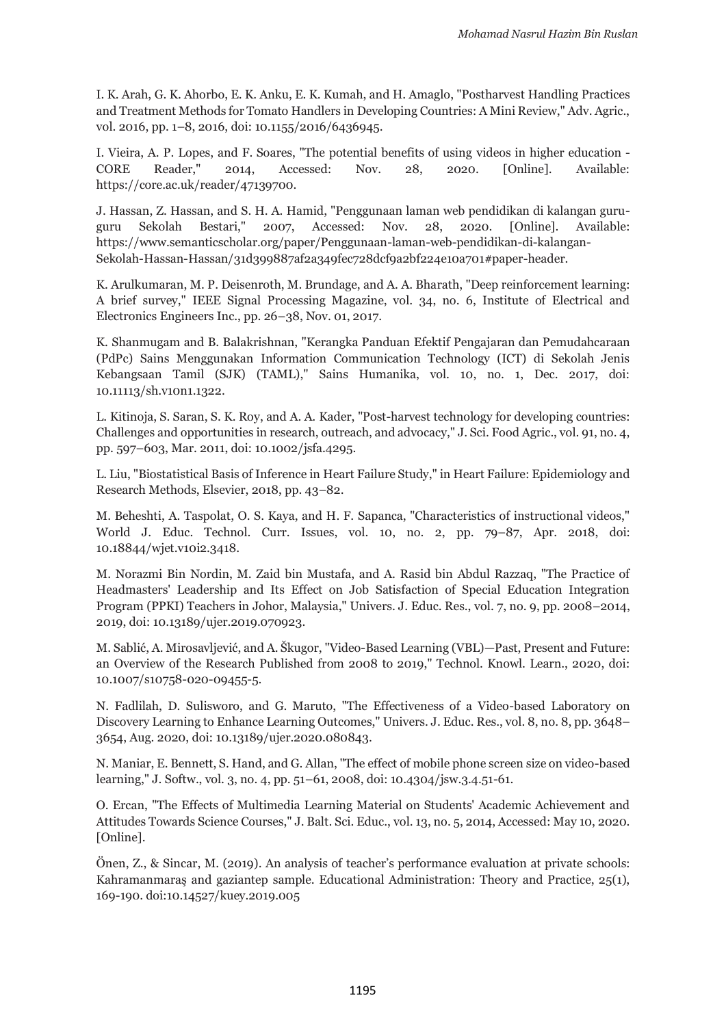I. K. Arah, G. K. Ahorbo, E. K. Anku, E. K. Kumah, and H. Amaglo, "Postharvest Handling Practices and Treatment Methods for Tomato Handlers in Developing Countries: A Mini Review," Adv. Agric., vol. 2016, pp. 1–8, 2016, doi: 10.1155/2016/6436945.

I. Vieira, A. P. Lopes, and F. Soares, "The potential benefits of using videos in higher education - CORE Reader," 2014, Accessed: Nov. 28, 2020. [Online]. Available: https://core.ac.uk/reader/47139700.

J. Hassan, Z. Hassan, and S. H. A. Hamid, "Penggunaan laman web pendidikan di kalangan guruguru Sekolah Bestari," 2007, Accessed: Nov. 28, 2020. [Online]. Available: https://www.semanticscholar.org/paper/Penggunaan-laman-web-pendidikan-di-kalangan-Sekolah-Hassan-Hassan/31d399887af2a349fec728dcf9a2bf224e10a701#paper-header.

K. Arulkumaran, M. P. Deisenroth, M. Brundage, and A. A. Bharath, "Deep reinforcement learning: A brief survey," IEEE Signal Processing Magazine, vol. 34, no. 6, Institute of Electrical and Electronics Engineers Inc., pp. 26–38, Nov. 01, 2017.

K. Shanmugam and B. Balakrishnan, "Kerangka Panduan Efektif Pengajaran dan Pemudahcaraan (PdPc) Sains Menggunakan Information Communication Technology (ICT) di Sekolah Jenis Kebangsaan Tamil (SJK) (TAML)," Sains Humanika, vol. 10, no. 1, Dec. 2017, doi: 10.11113/sh.v10n1.1322.

L. Kitinoja, S. Saran, S. K. Roy, and A. A. Kader, "Post-harvest technology for developing countries: Challenges and opportunities in research, outreach, and advocacy," J. Sci. Food Agric., vol. 91, no. 4, pp. 597–603, Mar. 2011, doi: 10.1002/jsfa.4295.

L. Liu, "Biostatistical Basis of Inference in Heart Failure Study," in Heart Failure: Epidemiology and Research Methods, Elsevier, 2018, pp. 43–82.

M. Beheshti, A. Taspolat, O. S. Kaya, and H. F. Sapanca, "Characteristics of instructional videos," World J. Educ. Technol. Curr. Issues, vol. 10, no. 2, pp. 79–87, Apr. 2018, doi: 10.18844/wjet.v10i2.3418.

M. Norazmi Bin Nordin, M. Zaid bin Mustafa, and A. Rasid bin Abdul Razzaq, "The Practice of Headmasters' Leadership and Its Effect on Job Satisfaction of Special Education Integration Program (PPKI) Teachers in Johor, Malaysia," Univers. J. Educ. Res., vol. 7, no. 9, pp. 2008–2014, 2019, doi: 10.13189/ujer.2019.070923.

M. Sablić, A. Mirosavljević, and A. Škugor, "Video-Based Learning (VBL)—Past, Present and Future: an Overview of the Research Published from 2008 to 2019," Technol. Knowl. Learn., 2020, doi: 10.1007/s10758-020-09455-5.

N. Fadlilah, D. Sulisworo, and G. Maruto, "The Effectiveness of a Video-based Laboratory on Discovery Learning to Enhance Learning Outcomes," Univers. J. Educ. Res., vol. 8, no. 8, pp. 3648– 3654, Aug. 2020, doi: 10.13189/ujer.2020.080843.

N. Maniar, E. Bennett, S. Hand, and G. Allan, "The effect of mobile phone screen size on video-based learning," J. Softw., vol. 3, no. 4, pp. 51–61, 2008, doi: 10.4304/jsw.3.4.51-61.

O. Ercan, "The Effects of Multimedia Learning Material on Students' Academic Achievement and Attitudes Towards Science Courses," J. Balt. Sci. Educ., vol. 13, no. 5, 2014, Accessed: May 10, 2020. [Online].

Önen, Z., & Sincar, M. (2019). An analysis of teacher's performance evaluation at private schools: Kahramanmaraş and gaziantep sample. Educational Administration: Theory and Practice, 25(1), 169-190. doi:10.14527/kuey.2019.005